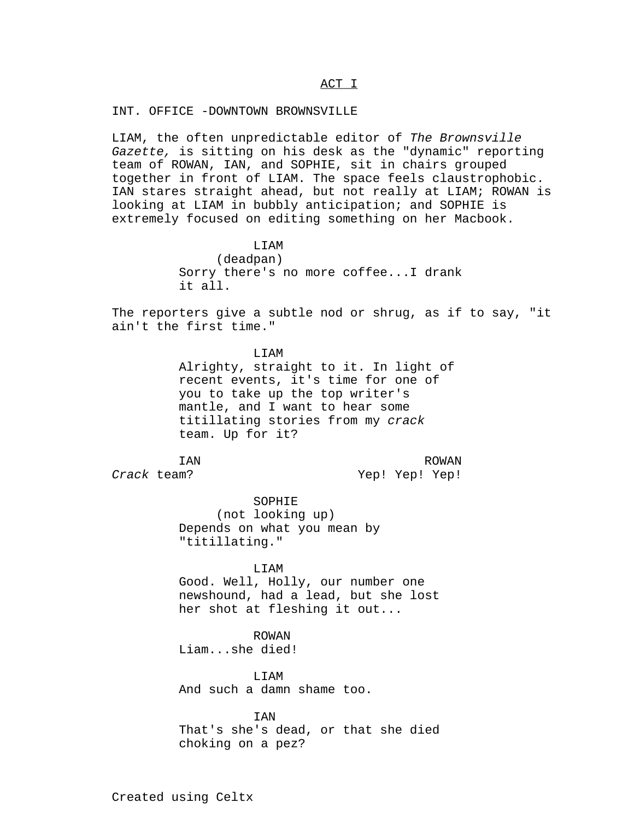### ACT I\_\_\_\_\_

#### INT. OFFICE -DOWNTOWN BROWNSVILLE

LIAM, the often unpredictable editor of The Brownsville Gazette, is sitting on his desk as the "dynamic" reporting team of ROWAN, IAN, and SOPHIE, sit in chairs grouped together in front of LIAM. The space feels claustrophobic. IAN stares straight ahead, but not really at LIAM; ROWAN is looking at LIAM in bubbly anticipation; and SOPHIE is extremely focused on editing something on her Macbook.

> LIAM (deadpan) Sorry there's no more coffee...I drank it all.

The reporters give a subtle nod or shrug, as if to say, "it ain't the first time."

> **T.TAM** Alrighty, straight to it. In light of recent events, it's time for one of you to take up the top writer's mantle, and I want to hear some titillating stories from my crack team. Up for it?

IAN Crack team?

ROWAN Yep! Yep! Yep!

SOPHIE (not looking up) Depends on what you mean by "titillating."

LIAM

Good. Well, Holly, our number one newshound, had a lead, but she lost her shot at fleshing it out...

ROWAN Liam...she died!

LIAM And such a damn shame too.

**TAN** That's she's dead, or that she died choking on a pez?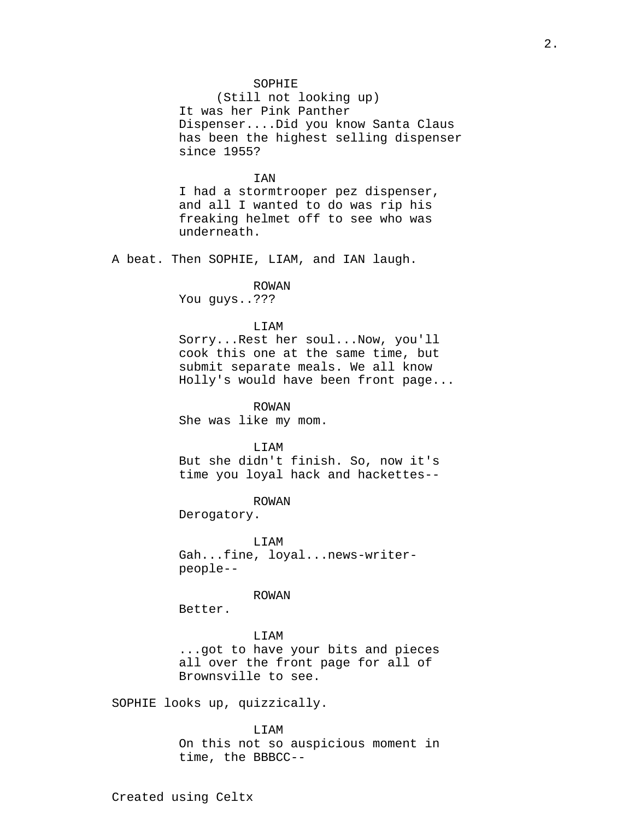## SOPHIE

(Still not looking up) It was her Pink Panther Dispenser....Did you know Santa Claus has been the highest selling dispenser since 1955?

## IAN

I had a stormtrooper pez dispenser, and all I wanted to do was rip his freaking helmet off to see who was underneath.

A beat. Then SOPHIE, LIAM, and IAN laugh.

#### ROWAN

You guys..???

### LIAM

Sorry...Rest her soul...Now, you'll cook this one at the same time, but submit separate meals. We all know Holly's would have been front page...

ROWAN She was like my mom.

LIAM

But she didn't finish. So, now it's time you loyal hack and hackettes--

ROWAN

Derogatory.

LIAM Gah...fine, loyal...news-writerpeople--

ROWAN

Better.

LIAM ...got to have your bits and pieces all over the front page for all of Brownsville to see.

SOPHIE looks up, quizzically.

LIAM On this not so auspicious moment in time, the BBBCC--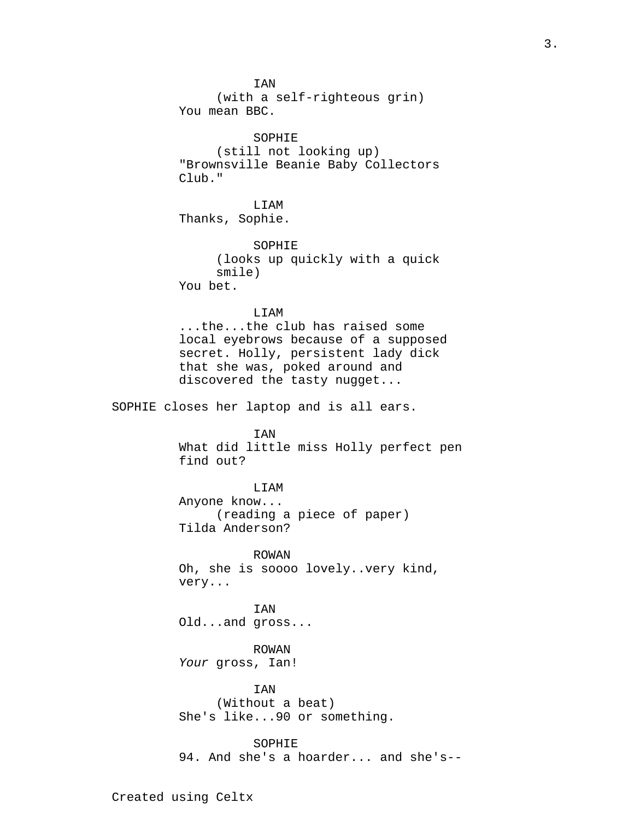IAN (with a self-righteous grin) You mean BBC. SOPHIE (still not looking up) "Brownsville Beanie Baby Collectors Club." LIAM Thanks, Sophie. SOPHIE (looks up quickly with a quick smile) You bet. LIAM ...the...the club has raised some local eyebrows because of a supposed secret. Holly, persistent lady dick that she was, poked around and discovered the tasty nugget... SOPHIE closes her laptop and is all ears. IAN What did little miss Holly perfect pen find out? LIAM Anyone know... (reading a piece of paper) Tilda Anderson? ROWAN Oh, she is soooo lovely..very kind, very... IAN Old...and gross... ROWAN Your gross, Ian! IAN (Without a beat) She's like...90 or something. SOPHIE 94. And she's a hoarder... and she's--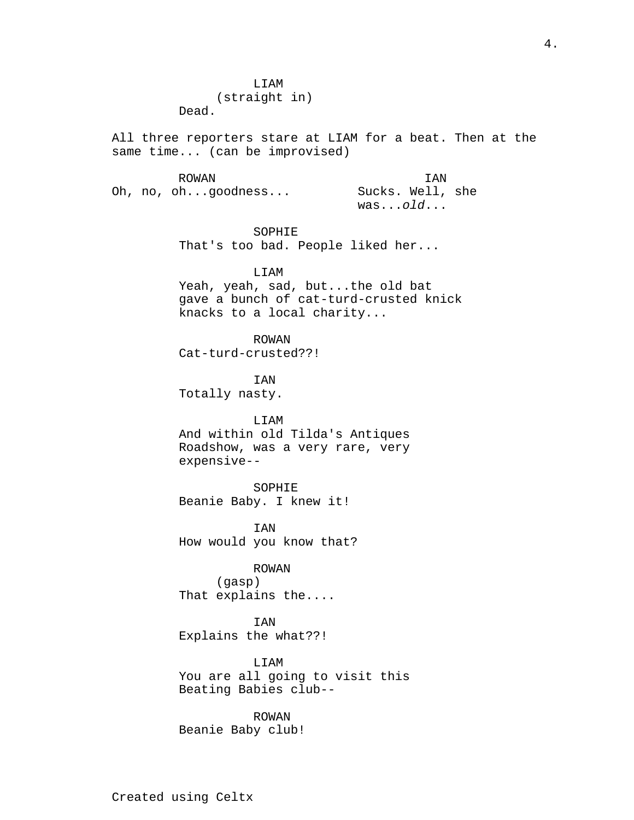LIAM (straight in) Dead.

All three reporters stare at LIAM for a beat. Then at the same time... (can be improvised)

ROWAN Oh, no, oh...goodness... IAN Sucks. Well, she  $was$ ... $old$ ...

> SOPHIE That's too bad. People liked her...

> > LIAM

Yeah, yeah, sad, but...the old bat gave a bunch of cat-turd-crusted knick knacks to a local charity...

ROWAN Cat-turd-crusted??!

IAN Totally nasty.

### LIAM

And within old Tilda's Antiques Roadshow, was a very rare, very expensive--

SOPHIE Beanie Baby. I knew it!

IAN How would you know that?

# ROWAN

(gasp) That explains the....

IAN Explains the what??!

LIAM You are all going to visit this Beating Babies club--

ROWAN Beanie Baby club!